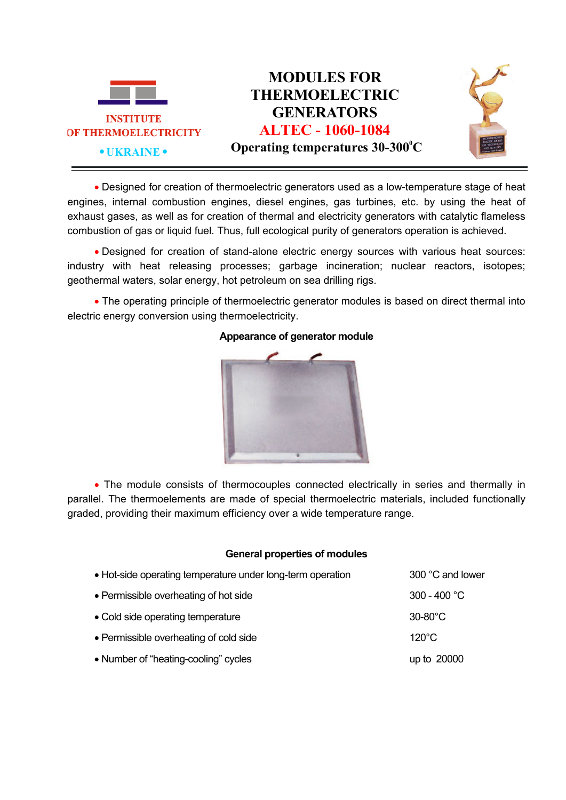

 Designed for creation of thermoelectric generators used as a low-temperature stage of heat engines, internal combustion engines, diesel engines, gas turbines, etc. by using the heat of exhaust gases, as well as for creation of thermal and electricity generators with catalytic flameless combustion of gas or liquid fuel. Thus, full ecological purity of generators operation is achieved.

 Designed for creation of stand-alone electric energy sources with various heat sources: industry with heat releasing processes; garbage incineration; nuclear reactors, isotopes; geothermal waters, solar energy, hot petroleum on sea drilling rigs.

• The operating principle of thermoelectric generator modules is based on direct thermal into electric energy conversion using thermoelectricity.



## **Appearance of generator module**

• The module consists of thermocouples connected electrically in series and thermally in parallel. The thermoelements are made of special thermoelectric materials, included functionally graded, providing their maximum efficiency over a wide temperature range.

## **General properties of modules**

| • Hot-side operating temperature under long-term operation | 300 °C and lower  |
|------------------------------------------------------------|-------------------|
| • Permissible overheating of hot side                      | 300 - 400 °C      |
| • Cold side operating temperature                          | $30-80^{\circ}$ C |
| • Permissible overheating of cold side                     | $120^{\circ}$ C   |
| • Number of "heating-cooling" cycles                       | up to 20000       |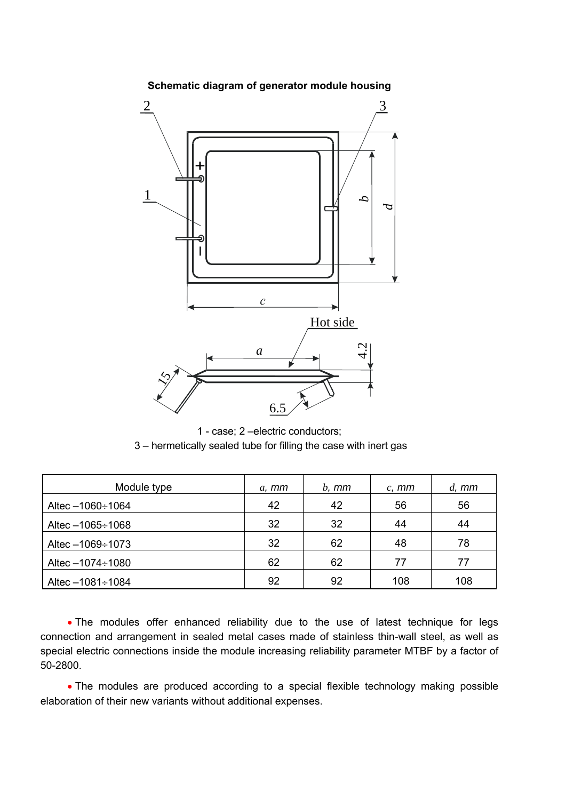

**Schematic diagram of generator module housing** 

1 - case; 2 –electric conductors; 3 – hermetically sealed tube for filling the case with inert gas

| Module type             | $a, \, mm$ | $b.$ $mm$ | $c, \, mm$ | $d, \,mm$ |
|-------------------------|------------|-----------|------------|-----------|
| Altec $-1060 \div 1064$ | 42         | 42        | 56         | 56        |
| Altec $-1065 \div 1068$ | 32         | 32        | 44         | 44        |
| Altec $-1069 \div 1073$ | 32         | 62        | 48         | 78        |
| Altec $-1074 \div 1080$ | 62         | 62        | 77         | 77        |
| Altec $-1081 \div 1084$ | 92         | 92        | 108        | 108       |

• The modules offer enhanced reliability due to the use of latest technique for legs connection and arrangement in sealed metal cases made of stainless thin-wall steel, as well as special electric connections inside the module increasing reliability parameter MTBF by a factor of 50-2800.

 The modules are produced according to a special flexible technology making possible elaboration of their new variants without additional expenses.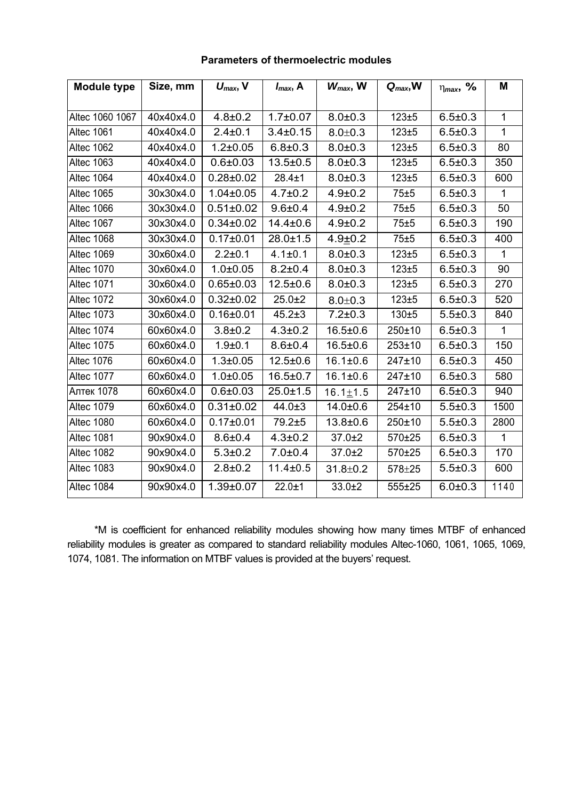| <b>Module type</b> | Size, mm  | $U_{\text{max}}$ , V | $I_{max}$ , A  | $W_{max}$ , W  | $Q_{max}$ , W | $\eta_{max}$ , % | M            |
|--------------------|-----------|----------------------|----------------|----------------|---------------|------------------|--------------|
|                    |           |                      |                |                |               |                  |              |
| Altec 1060 1067    | 40x40x4.0 | $4.8 + 0.2$          | $1.7 \pm 0.07$ | $8.0 + 0.3$    | $123 + 5$     | $6.5 \pm 0.3$    | 1            |
| Altec 1061         | 40x40x4.0 | $2.4 \pm 0.1$        | $3.4 \pm 0.15$ | $8.0 + 0.3$    | $123 + 5$     | $6.5 \pm 0.3$    | 1            |
| Altec 1062         | 40x40x4.0 | $1.2 \pm 0.05$       | $6.8 \pm 0.3$  | $8.0 + 0.3$    | $123 + 5$     | $6.5 \pm 0.3$    | 80           |
| <b>Altec 1063</b>  | 40x40x4.0 | $0.6 + 0.03$         | $13.5 \pm 0.5$ | $8.0 + 0.3$    | $123 \pm 5$   | $6.5 \pm 0.3$    | 350          |
| Altec 1064         | 40x40x4.0 | $0.28 \pm 0.02$      | $28.4 \pm 1$   | $8.0 + 0.3$    | $123 + 5$     | $6.5 \pm 0.3$    | 600          |
| Altec 1065         | 30x30x4.0 | $1.04 \pm 0.05$      | $4.7 \pm 0.2$  | $4.9 \pm 0.2$  | 75±5          | $6.5 \pm 0.3$    | $\mathbf{1}$ |
| Altec 1066         | 30x30x4.0 | $0.51 \pm 0.02$      | $9.6 + 0.4$    | $4.9 \pm 0.2$  | 75±5          | $6.5 \pm 0.3$    | 50           |
| Altec 1067         | 30x30x4.0 | $0.34 \pm 0.02$      | $14.4 \pm 0.6$ | $4.9 \pm 0.2$  | 75±5          | $6.5 \pm 0.3$    | 190          |
| Altec 1068         | 30x30x4.0 | $0.17 \pm 0.01$      | $28.0 \pm 1.5$ | $4.9 \pm 0.2$  | 75±5          | $6.5 \pm 0.3$    | 400          |
| <b>Altec 1069</b>  | 30x60x4.0 | $2.2 \pm 0.1$        | $4.1 \pm 0.1$  | $8.0 + 0.3$    | $123 + 5$     | $6.5 \pm 0.3$    | $\mathbf 1$  |
| <b>Altec 1070</b>  | 30x60x4.0 | $1.0 + 0.05$         | $8.2 \pm 0.4$  | $8.0 + 0.3$    | $123 + 5$     | $6.5 \pm 0.3$    | 90           |
| <b>Altec 1071</b>  | 30x60x4.0 | $0.65 \pm 0.03$      | $12.5 \pm 0.6$ | $8.0 + 0.3$    | 123±5         | $6.5 \pm 0.3$    | 270          |
| Altec 1072         | 30x60x4.0 | $0.32 \pm 0.02$      | $25.0 + 2$     | $8.0 + 0.3$    | $123 + 5$     | $6.5 \pm 0.3$    | 520          |
| <b>Altec 1073</b>  | 30x60x4.0 | $0.16 \pm 0.01$      | $45.2 \pm 3$   | $7.2 \pm 0.3$  | 130±5         | $5.5 \pm 0.3$    | 840          |
| <b>Altec 1074</b>  | 60x60x4.0 | $3.8 + 0.2$          | $4.3 \pm 0.2$  | $16.5 \pm 0.6$ | 250±10        | $6.5 \pm 0.3$    | 1            |
| <b>Altec 1075</b>  | 60x60x4.0 | $1.9 + 0.1$          | $8.6 + 0.4$    | $16.5 \pm 0.6$ | $253 + 10$    | $6.5 \pm 0.3$    | 150          |
| Altec 1076         | 60x60x4.0 | $1.3 + 0.05$         | $12.5 \pm 0.6$ | $16.1 \pm 0.6$ | 247±10        | $6.5 \pm 0.3$    | 450          |
| <b>Altec 1077</b>  | 60x60x4.0 | $1.0 + 0.05$         | $16.5 \pm 0.7$ | $16.1 \pm 0.6$ | 247±10        | $6.5 \pm 0.3$    | 580          |
| Алтек 1078         | 60x60x4.0 | $0.6 \pm 0.03$       | $25.0 \pm 1.5$ | $16.1 \pm 1.5$ | 247±10        | $6.5 \pm 0.3$    | 940          |
| <b>Altec 1079</b>  | 60x60x4.0 | $0.31 \pm 0.02$      | $44.0 \pm 3$   | 14.0±0.6       | 254±10        | $5.5 \pm 0.3$    | 1500         |
| Altec 1080         | 60x60x4.0 | $0.17 \pm 0.01$      | 79.2±5         | 13.8±0.6       | 250±10        | $5.5 \pm 0.3$    | 2800         |
| <b>Altec 1081</b>  | 90x90x4.0 | $8.6 + 0.4$          | $4.3 \pm 0.2$  | $37.0 + 2$     | 570±25        | $6.5 \pm 0.3$    | 1            |
| Altec 1082         | 90x90x4.0 | $5.3 \pm 0.2$        | $7.0 + 0.4$    | $37.0 + 2$     | 570±25        | $6.5 \pm 0.3$    | 170          |
| Altec 1083         | 90x90x4.0 | $2.8 + 0.2$          | $11.4 \pm 0.5$ | $31.8 + 0.2$   | 578±25        | $5.5 \pm 0.3$    | 600          |
| Altec 1084         | 90x90x4.0 | $1.39 + 0.07$        | $22.0 + 1$     | $33.0 + 2$     | 555±25        | $6.0 + 0.3$      | 1140         |

## **Parameters of thermoelectric modules**

\*М is coefficient for enhanced reliability modules showing how many times MTBF of enhanced reliability modules is greater as compared to standard reliability modules Altec-1060, 1061, 1065, 1069, 1074, 1081. The information on MTBF values is provided at the buyers' request.